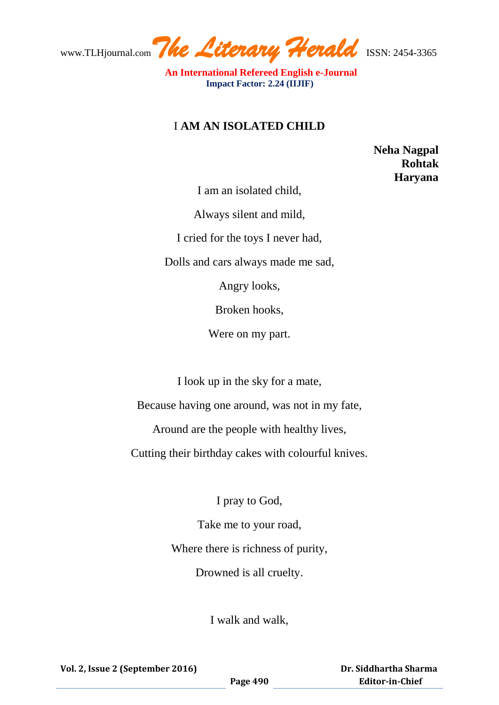www.TLHjournal.com*The Literary Herald*ISSN: 2454-3365

 **An International Refereed English e-Journal Impact Factor: 2.24 (IIJIF)** 

## I **AM AN ISOLATED CHILD**

 **Neha Nagpal Rohtak Haryana** 

I am an isolated child,

Always silent and mild,

I cried for the toys I never had,

Dolls and cars always made me sad,

Angry looks,

Broken hooks,

Were on my part.

I look up in the sky for a mate,

Because having one around, was not in my fate,

Around are the people with healthy lives,

Cutting their birthday cakes with colourful knives.

I pray to God,

Take me to your road, Where there is richness of purity, Drowned is all cruelty.

I walk and walk,

 **Dr. Siddhartha Sharma Editor-in-Chief**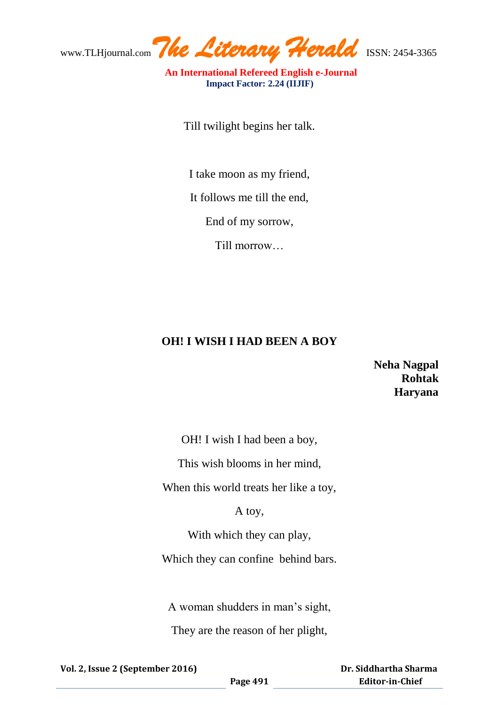www.TLHjournal.com*The Literary Herald*ISSN: 2454-3365

 **An International Refereed English e-Journal Impact Factor: 2.24 (IIJIF)** 

Till twilight begins her talk.

I take moon as my friend,

It follows me till the end,

End of my sorrow,

Till morrow…

## **OH! I WISH I HAD BEEN A BOY**

## **Neha Nagpal Rohtak Haryana**

OH! I wish I had been a boy,

This wish blooms in her mind,

When this world treats her like a toy,

A toy,

With which they can play,

Which they can confine behind bars.

A woman shudders in man's sight,

They are the reason of her plight,